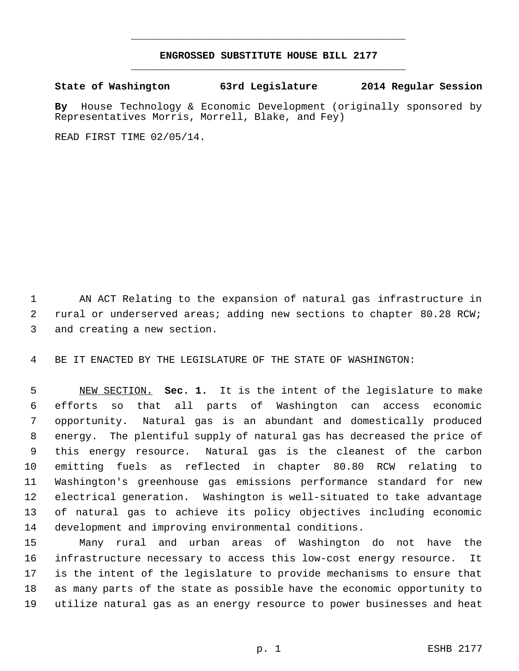## **ENGROSSED SUBSTITUTE HOUSE BILL 2177** \_\_\_\_\_\_\_\_\_\_\_\_\_\_\_\_\_\_\_\_\_\_\_\_\_\_\_\_\_\_\_\_\_\_\_\_\_\_\_\_\_\_\_\_\_

\_\_\_\_\_\_\_\_\_\_\_\_\_\_\_\_\_\_\_\_\_\_\_\_\_\_\_\_\_\_\_\_\_\_\_\_\_\_\_\_\_\_\_\_\_

**State of Washington 63rd Legislature 2014 Regular Session**

**By** House Technology & Economic Development (originally sponsored by Representatives Morris, Morrell, Blake, and Fey)

READ FIRST TIME 02/05/14.

 AN ACT Relating to the expansion of natural gas infrastructure in rural or underserved areas; adding new sections to chapter 80.28 RCW; and creating a new section.

BE IT ENACTED BY THE LEGISLATURE OF THE STATE OF WASHINGTON:

 NEW SECTION. **Sec. 1.** It is the intent of the legislature to make efforts so that all parts of Washington can access economic opportunity. Natural gas is an abundant and domestically produced energy. The plentiful supply of natural gas has decreased the price of this energy resource. Natural gas is the cleanest of the carbon emitting fuels as reflected in chapter 80.80 RCW relating to Washington's greenhouse gas emissions performance standard for new electrical generation. Washington is well-situated to take advantage of natural gas to achieve its policy objectives including economic development and improving environmental conditions.

 Many rural and urban areas of Washington do not have the infrastructure necessary to access this low-cost energy resource. It is the intent of the legislature to provide mechanisms to ensure that as many parts of the state as possible have the economic opportunity to utilize natural gas as an energy resource to power businesses and heat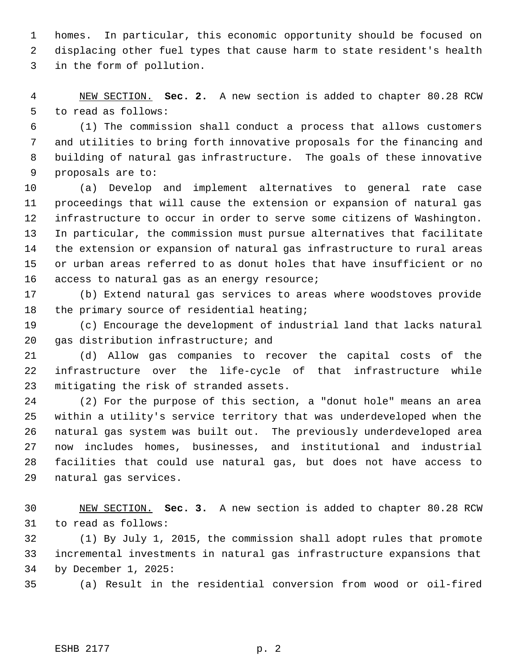homes. In particular, this economic opportunity should be focused on displacing other fuel types that cause harm to state resident's health in the form of pollution.

 NEW SECTION. **Sec. 2.** A new section is added to chapter 80.28 RCW to read as follows:

 (1) The commission shall conduct a process that allows customers and utilities to bring forth innovative proposals for the financing and building of natural gas infrastructure. The goals of these innovative proposals are to:

 (a) Develop and implement alternatives to general rate case proceedings that will cause the extension or expansion of natural gas infrastructure to occur in order to serve some citizens of Washington. In particular, the commission must pursue alternatives that facilitate the extension or expansion of natural gas infrastructure to rural areas or urban areas referred to as donut holes that have insufficient or no access to natural gas as an energy resource;

 (b) Extend natural gas services to areas where woodstoves provide 18 the primary source of residential heating;

 (c) Encourage the development of industrial land that lacks natural gas distribution infrastructure; and

 (d) Allow gas companies to recover the capital costs of the infrastructure over the life-cycle of that infrastructure while mitigating the risk of stranded assets.

 (2) For the purpose of this section, a "donut hole" means an area within a utility's service territory that was underdeveloped when the natural gas system was built out. The previously underdeveloped area now includes homes, businesses, and institutional and industrial facilities that could use natural gas, but does not have access to natural gas services.

 NEW SECTION. **Sec. 3.** A new section is added to chapter 80.28 RCW to read as follows:

 (1) By July 1, 2015, the commission shall adopt rules that promote incremental investments in natural gas infrastructure expansions that by December 1, 2025:

(a) Result in the residential conversion from wood or oil-fired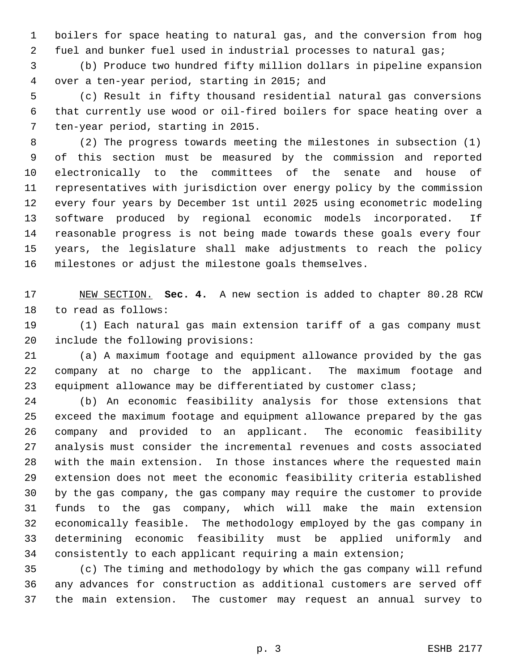boilers for space heating to natural gas, and the conversion from hog 2 fuel and bunker fuel used in industrial processes to natural gas;

 (b) Produce two hundred fifty million dollars in pipeline expansion over a ten-year period, starting in 2015; and

 (c) Result in fifty thousand residential natural gas conversions that currently use wood or oil-fired boilers for space heating over a ten-year period, starting in 2015.

 (2) The progress towards meeting the milestones in subsection (1) of this section must be measured by the commission and reported electronically to the committees of the senate and house of representatives with jurisdiction over energy policy by the commission every four years by December 1st until 2025 using econometric modeling software produced by regional economic models incorporated. If reasonable progress is not being made towards these goals every four years, the legislature shall make adjustments to reach the policy milestones or adjust the milestone goals themselves.

 NEW SECTION. **Sec. 4.** A new section is added to chapter 80.28 RCW to read as follows:

 (1) Each natural gas main extension tariff of a gas company must include the following provisions:

 (a) A maximum footage and equipment allowance provided by the gas company at no charge to the applicant. The maximum footage and equipment allowance may be differentiated by customer class;

 (b) An economic feasibility analysis for those extensions that exceed the maximum footage and equipment allowance prepared by the gas company and provided to an applicant. The economic feasibility analysis must consider the incremental revenues and costs associated with the main extension. In those instances where the requested main extension does not meet the economic feasibility criteria established by the gas company, the gas company may require the customer to provide funds to the gas company, which will make the main extension economically feasible. The methodology employed by the gas company in determining economic feasibility must be applied uniformly and consistently to each applicant requiring a main extension;

 (c) The timing and methodology by which the gas company will refund any advances for construction as additional customers are served off the main extension. The customer may request an annual survey to